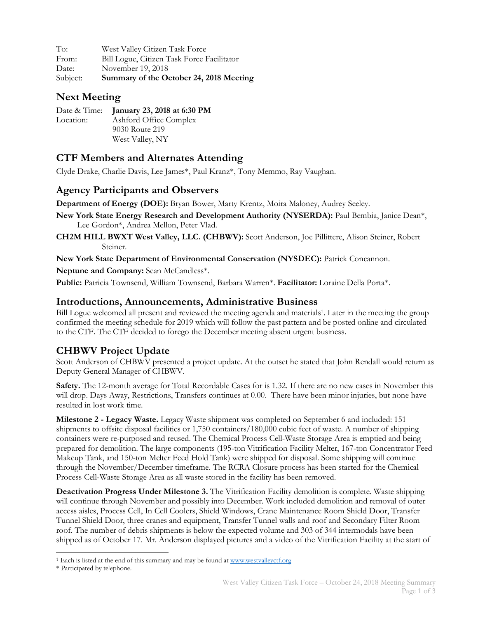| To:      | West Valley Citizen Task Force             |
|----------|--------------------------------------------|
| From:    | Bill Logue, Citizen Task Force Facilitator |
| Date:    | November 19, 2018                          |
| Subject: | Summary of the October 24, 2018 Meeting    |

### **Next Meeting**

|           | Date & Time: January 23, 2018 at 6:30 PM |
|-----------|------------------------------------------|
| Location: | Ashford Office Complex                   |
|           | 9030 Route 219                           |
|           | West Valley, NY                          |

# **CTF Members and Alternates Attending**

Clyde Drake, Charlie Davis, Lee James\*, Paul Kranz\*, Tony Memmo, Ray Vaughan.

## **Agency Participants and Observers**

**Department of Energy (DOE):** Bryan Bower, Marty Krentz, Moira Maloney, Audrey Seeley.

**New York State Energy Research and Development Authority (NYSERDA):** Paul Bembia, Janice Dean\*, Lee Gordon\*, Andrea Mellon, Peter Vlad.

**CH2M HILL BWXT West Valley, LLC. (CHBWV):** Scott Anderson, Joe Pillittere, Alison Steiner, Robert Steiner.

**New York State Department of Environmental Conservation (NYSDEC):** Patrick Concannon.

**Neptune and Company:** Sean McCandless\*.

**Public:** Patricia Townsend, William Townsend, Barbara Warren\*. **Facilitator:** Loraine Della Porta\*.

### **Introductions, Announcements, Administrative Business**

Bill Logue welcomed all present and reviewed the meeting agenda and materials1. Later in the meeting the group confirmed the meeting schedule for 2019 which will follow the past pattern and be posted online and circulated to the CTF. The CTF decided to forego the December meeting absent urgent business.

### **CHBWV Project Update**

Scott Anderson of CHBWV presented a project update. At the outset he stated that John Rendall would return as Deputy General Manager of CHBWV.

**Safety.** The 12-month average for Total Recordable Cases for is 1.32. If there are no new cases in November this will drop. Days Away, Restrictions, Transfers continues at 0.00. There have been minor injuries, but none have resulted in lost work time.

**Milestone 2 - Legacy Waste.** Legacy Waste shipment was completed on September 6 and included: 151 shipments to offsite disposal facilities or 1,750 containers/180,000 cubic feet of waste. A number of shipping containers were re-purposed and reused. The Chemical Process Cell-Waste Storage Area is emptied and being prepared for demolition. The large components (195-ton Vitrification Facility Melter, 167-ton Concentrator Feed Makeup Tank, and 150-ton Melter Feed Hold Tank) were shipped for disposal. Some shipping will continue through the November/December timeframe. The RCRA Closure process has been started for the Chemical Process Cell-Waste Storage Area as all waste stored in the facility has been removed.

**Deactivation Progress Under Milestone 3.** The Vitrification Facility demolition is complete. Waste shipping will continue through November and possibly into December. Work included demolition and removal of outer access aisles, Process Cell, In Cell Coolers, Shield Windows, Crane Maintenance Room Shield Door, Transfer Tunnel Shield Door, three cranes and equipment, Transfer Tunnel walls and roof and Secondary Filter Room roof. The number of debris shipments is below the expected volume and 303 of 344 intermodals have been shipped as of October 17. Mr. Anderson displayed pictures and a video of the Vitrification Facility at the start of

 $\overline{a}$ <sup>1</sup> Each is listed at the end of this summary and may be found at www.westvalleyctf.org

<sup>\*</sup> Participated by telephone.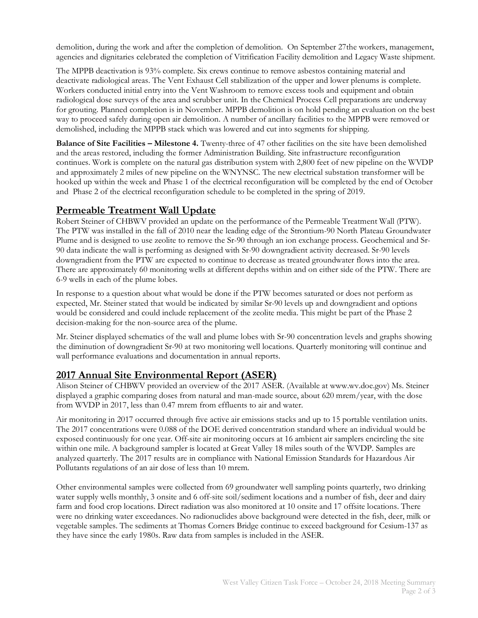demolition, during the work and after the completion of demolition. On September 27the workers, management, agencies and dignitaries celebrated the completion of Vitrification Facility demolition and Legacy Waste shipment.

The MPPB deactivation is 93% complete. Six crews continue to remove asbestos containing material and deactivate radiological areas. The Vent Exhaust Cell stabilization of the upper and lower plenums is complete. Workers conducted initial entry into the Vent Washroom to remove excess tools and equipment and obtain radiological dose surveys of the area and scrubber unit. In the Chemical Process Cell preparations are underway for grouting. Planned completion is in November. MPPB demolition is on hold pending an evaluation on the best way to proceed safely during open air demolition. A number of ancillary facilities to the MPPB were removed or demolished, including the MPPB stack which was lowered and cut into segments for shipping.

**Balance of Site Facilities – Milestone 4.** Twenty-three of 47 other facilities on the site have been demolished and the areas restored, including the former Administration Building. Site infrastructure reconfiguration continues. Work is complete on the natural gas distribution system with 2,800 feet of new pipeline on the WVDP and approximately 2 miles of new pipeline on the WNYNSC. The new electrical substation transformer will be hooked up within the week and Phase 1 of the electrical reconfiguration will be completed by the end of October and Phase 2 of the electrical reconfiguration schedule to be completed in the spring of 2019.

### **Permeable Treatment Wall Update**

Robert Steiner of CHBWV provided an update on the performance of the Permeable Treatment Wall (PTW). The PTW was installed in the fall of 2010 near the leading edge of the Strontium-90 North Plateau Groundwater Plume and is designed to use zeolite to remove the Sr-90 through an ion exchange process. Geochemical and Sr-90 data indicate the wall is performing as designed with Sr-90 downgradient activity decreased. Sr-90 levels downgradient from the PTW are expected to continue to decrease as treated groundwater flows into the area. There are approximately 60 monitoring wells at different depths within and on either side of the PTW. There are 6-9 wells in each of the plume lobes.

In response to a question about what would be done if the PTW becomes saturated or does not perform as expected, Mr. Steiner stated that would be indicated by similar Sr-90 levels up and downgradient and options would be considered and could include replacement of the zeolite media. This might be part of the Phase 2 decision-making for the non-source area of the plume.

Mr. Steiner displayed schematics of the wall and plume lobes with Sr-90 concentration levels and graphs showing the diminution of downgradient Sr-90 at two monitoring well locations. Quarterly monitoring will continue and wall performance evaluations and documentation in annual reports.

# **2017 Annual Site Environmental Report (ASER)**

Alison Steiner of CHBWV provided an overview of the 2017 ASER. (Available at www.wv.doe.gov) Ms. Steiner displayed a graphic comparing doses from natural and man-made source, about 620 mrem/year, with the dose from WVDP in 2017, less than 0.47 mrem from effluents to air and water.

Air monitoring in 2017 occurred through five active air emissions stacks and up to 15 portable ventilation units. The 2017 concentrations were 0.088 of the DOE derived concentration standard where an individual would be exposed continuously for one year. Off-site air monitoring occurs at 16 ambient air samplers encircling the site within one mile. A background sampler is located at Great Valley 18 miles south of the WVDP. Samples are analyzed quarterly. The 2017 results are in compliance with National Emission Standards for Hazardous Air Pollutants regulations of an air dose of less than 10 mrem.

Other environmental samples were collected from 69 groundwater well sampling points quarterly, two drinking water supply wells monthly, 3 onsite and 6 off-site soil/sediment locations and a number of fish, deer and dairy farm and food crop locations. Direct radiation was also monitored at 10 onsite and 17 offsite locations. There were no drinking water exceedances. No radionuclides above background were detected in the fish, deer, milk or vegetable samples. The sediments at Thomas Corners Bridge continue to exceed background for Cesium-137 as they have since the early 1980s. Raw data from samples is included in the ASER.